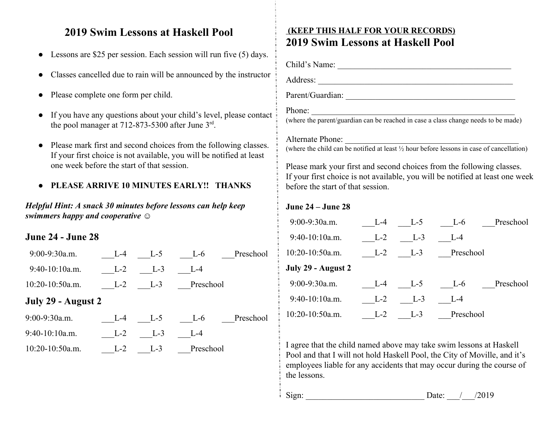## **2019 Swim Lessons at Haskell Pool**

- Lessons are \$25 per session. Each session will run five (5) days.
- Classes cancelled due to rain will be announced by the instructor
- Please complete one form per child.
- If you have any questions about your child's level, please contact the pool manager at  $712-873-5300$  after June  $3<sup>rd</sup>$ .
- Please mark first and second choices from the following classes. If your first choice is not available, you will be notified at least one week before the start of that session.

### **● PLEASE ARRIVE 10 MINUTES EARLY!! THANKS**

*Helpful Hint: A snack 30 minutes before lessons can help keep swimmers happy and cooperative ☺*

### **June 24 - June 28**

| $9:00-9:30a.m.$    | $L - 4$ | $L-5$   | Preschool<br>$L-6$ |  |
|--------------------|---------|---------|--------------------|--|
| $9:40-10:10a.m.$   | $L-2$   | $L-3$   | $1 - 4$            |  |
| $10:20-10:50a.m.$  | $L-2$   | $L-3$   | Preschool          |  |
| July 29 - August 2 |         |         |                    |  |
| 9:00-9:30a.m.      | $L-4$   | $L-5$   | Preschool<br>$L-6$ |  |
| 9:40-10:10a.m.     | $L-2$   | $L-3$   | $L - 4$            |  |
| $10:20-10:50a.m.$  | $1 - 2$ | $1 - 3$ | Preschool          |  |

# **(KEEP THIS HALF FOR YOUR RECORDS) 2019 Swim Lessons at Haskell Pool**

Child's Name: \_\_\_\_\_\_\_\_\_\_\_\_\_\_\_\_\_\_\_\_\_\_\_\_\_\_\_\_\_\_\_\_\_\_\_\_\_\_\_\_\_

Address: \_\_\_\_\_\_\_\_\_\_\_\_\_\_\_\_\_\_\_\_\_\_\_\_\_\_\_\_\_\_\_\_\_\_\_\_\_\_\_\_\_\_\_\_\_\_

Parent/Guardian: \_\_\_\_\_\_\_\_\_\_\_\_\_\_\_\_\_\_\_\_\_\_\_\_\_\_\_\_\_\_\_\_\_\_\_\_\_\_\_\_

#### Phone:

(where the parent/guardian can be reached in case a class change needs to be made)

#### Alternate Phone: \_\_\_\_\_\_\_\_\_\_\_\_\_\_\_\_\_\_\_\_\_\_\_\_\_\_\_\_\_\_\_\_\_\_\_\_\_\_\_\_\_

(where the child can be notified at least ½ hour before lessons in case of cancellation)

Please mark your first and second choices from the following classes. If your first choice is not available, you will be notified at least one week before the start of that session.

#### **June 24 – June 28**

| $9:00-9:30a.m.$    | $L - 4$ | $L-5$   | $L-6$     | Preschool |
|--------------------|---------|---------|-----------|-----------|
| $9:40-10:10a.m.$   | $L-2$   | $L-3$   | $L - 4$   |           |
| $10:20-10:50a.m.$  | $L-2$   | $L-3$   | Preschool |           |
| July 29 - August 2 |         |         |           |           |
| $9:00-9:30a.m.$    | $1 - 4$ | $L-5$   | $L-6$     | Preschool |
| $9:40-10:10a.m.$   | $L-2$   | $1 - 3$ | $L = 4$   |           |
| $10:20-10:50a.m.$  | $L-2$   | $1 - 3$ | Preschool |           |

I agree that the child named above may take swim lessons at Haskell Pool and that I will not hold Haskell Pool, the City of Moville, and it's employees liable for any accidents that may occur during the course of the lessons.

Sign: \_\_\_\_\_\_\_\_\_\_\_\_\_\_\_\_\_\_\_\_\_\_\_\_\_\_\_\_ Date: \_\_\_/\_\_\_/2019